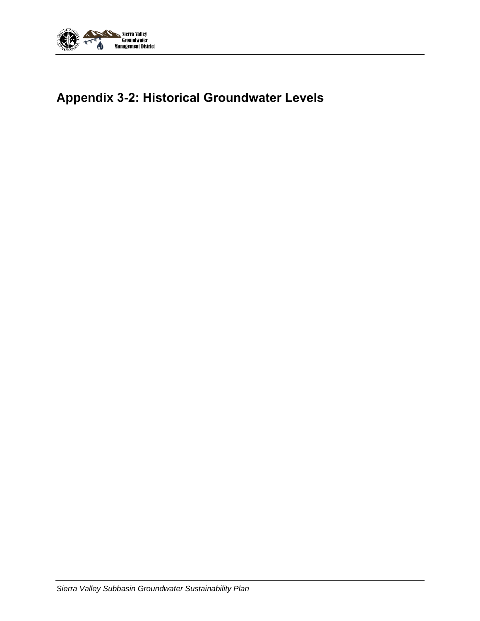

# **Appendix 3-2: Historical Groundwater Levels**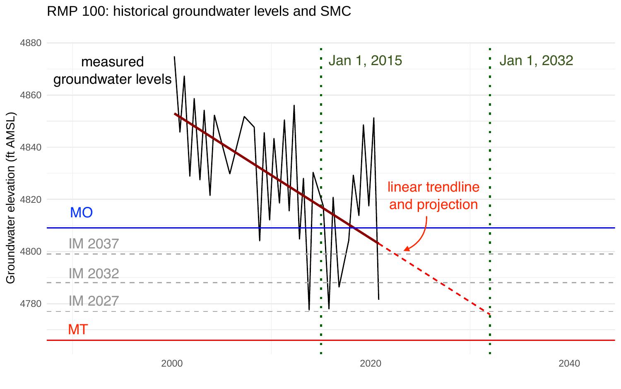

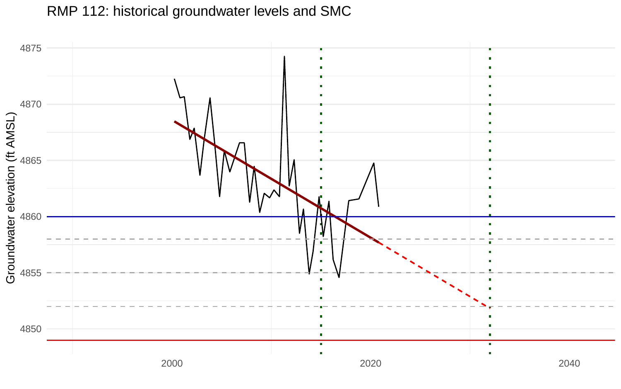RMP 112: historical groundwater levels and SMC

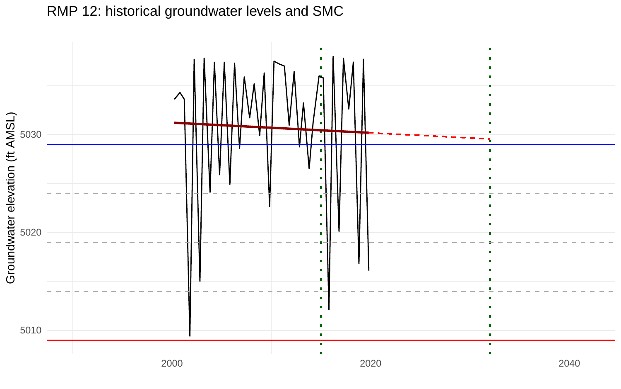

RMP 12: historical groundwater levels and SMC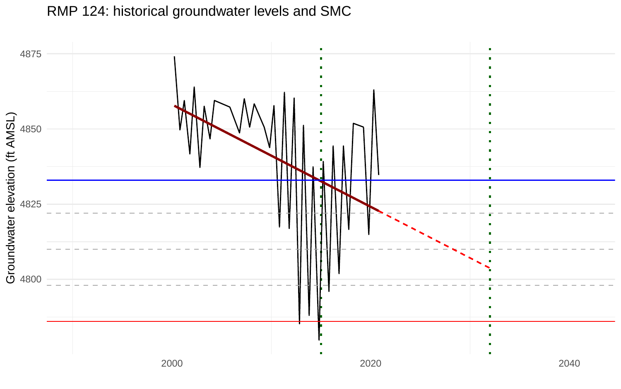

#### RMP 124: historical groundwater levels and SMC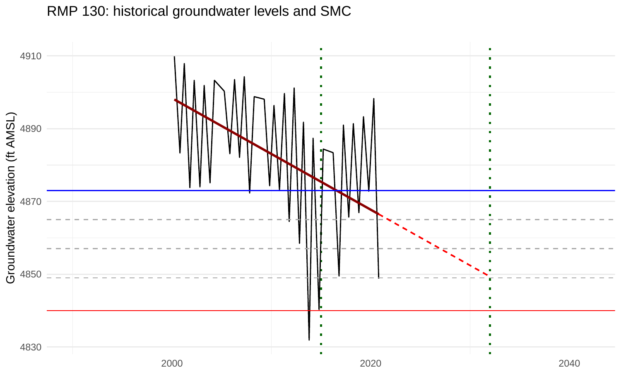

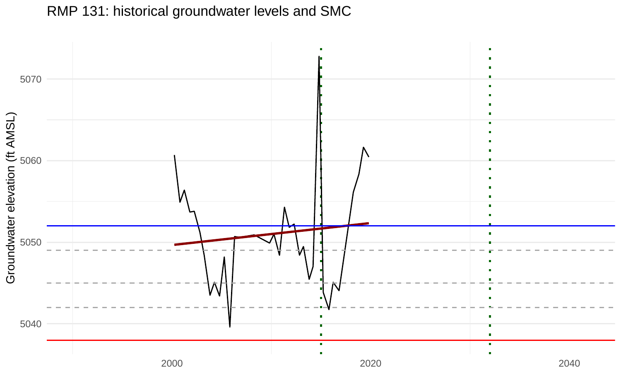RMP 131: historical groundwater levels and SMC

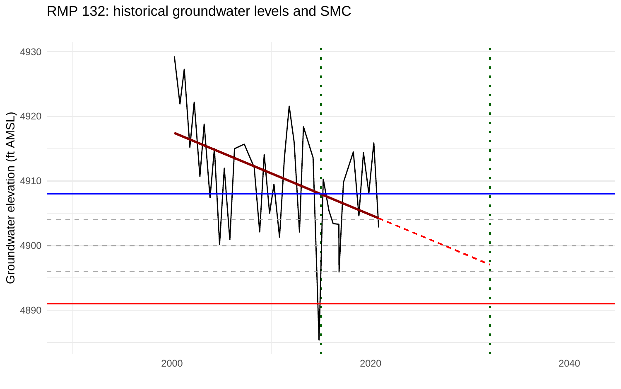

## RMP 132: historical groundwater levels and SMC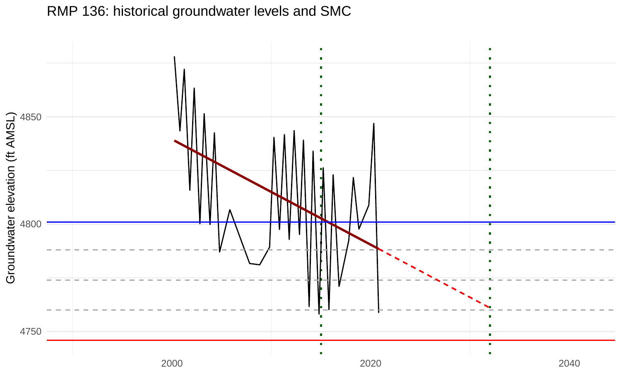

## RMP 136: historical groundwater levels and SMC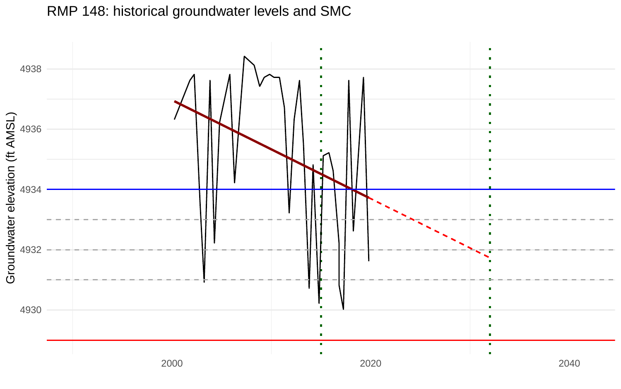

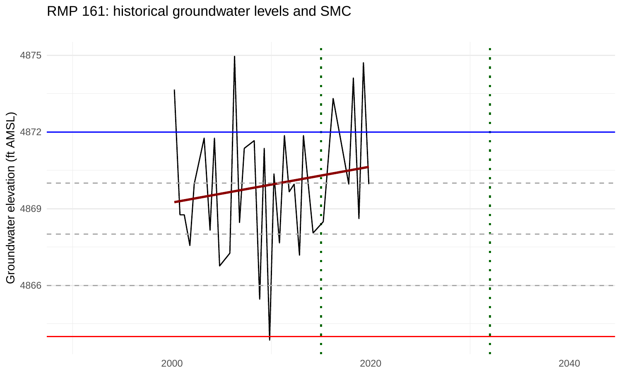RMP 161: historical groundwater levels and SMC

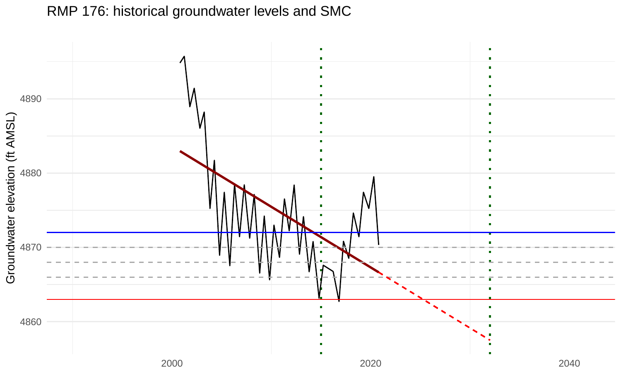

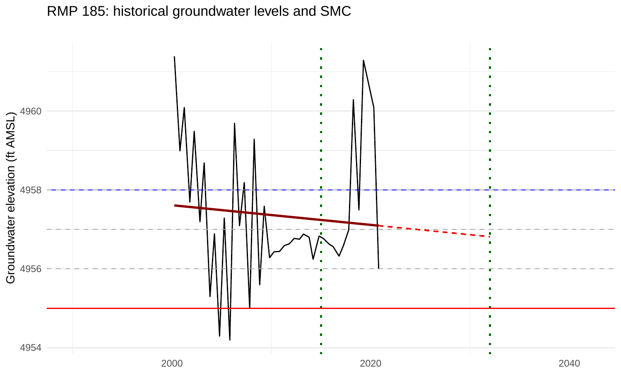

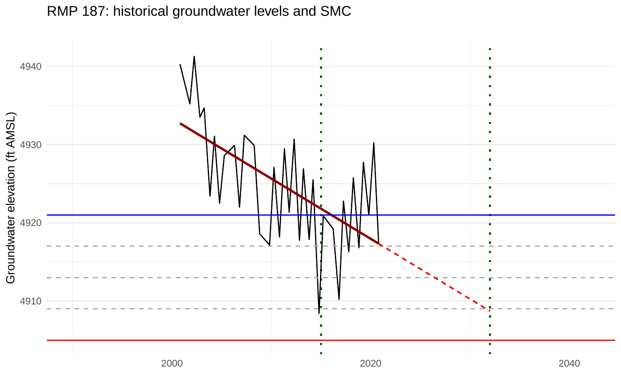

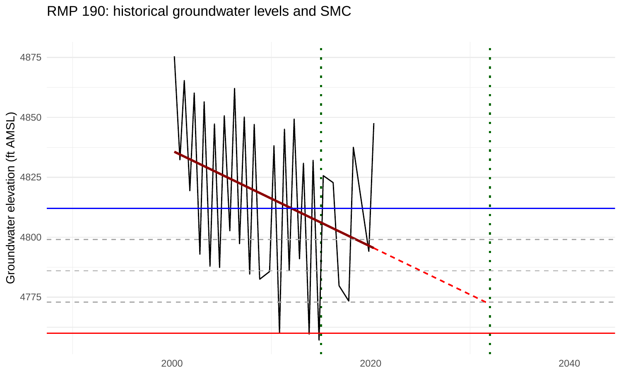

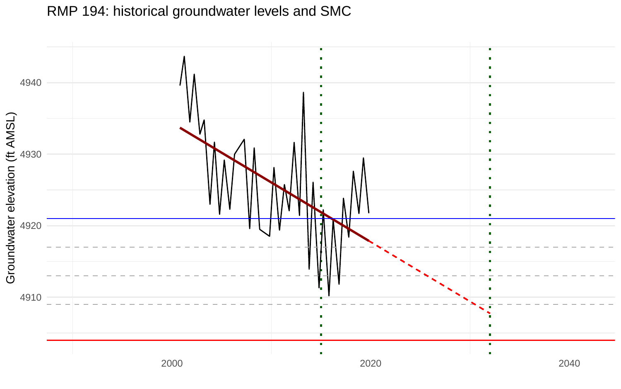

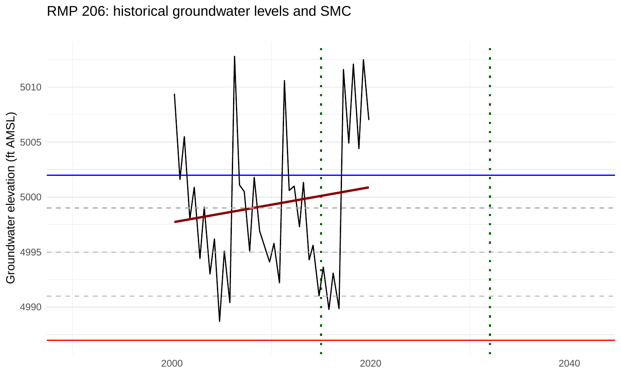

RMP 206: historical groundwater levels and SMC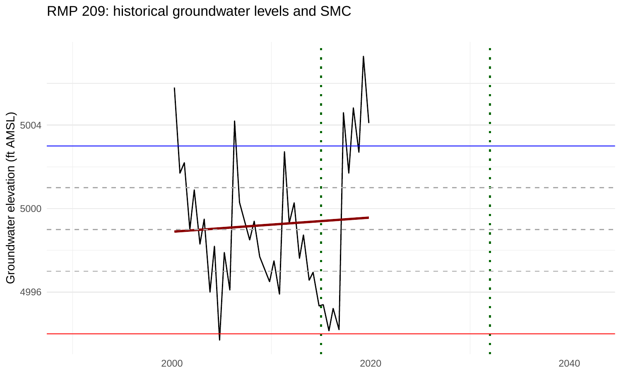## RMP 209: historical groundwater levels and SMC

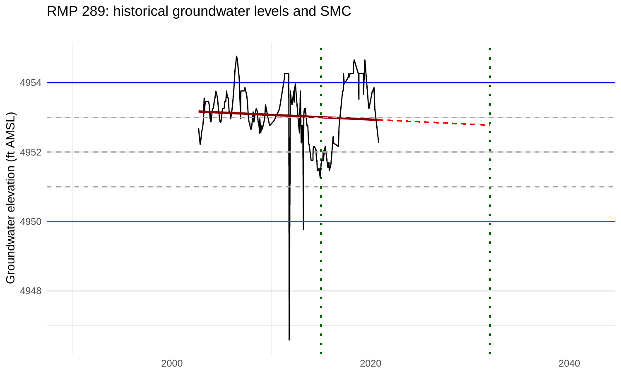RMP 289: historical groundwater levels and SMC

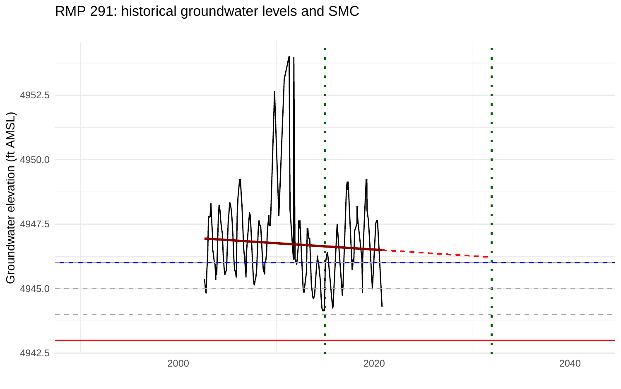RMP 291: historical groundwater levels and SMC

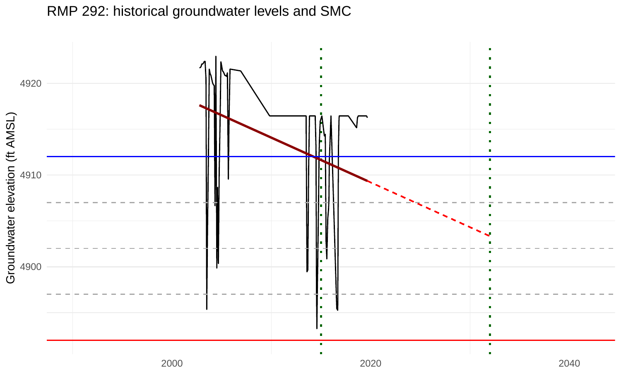

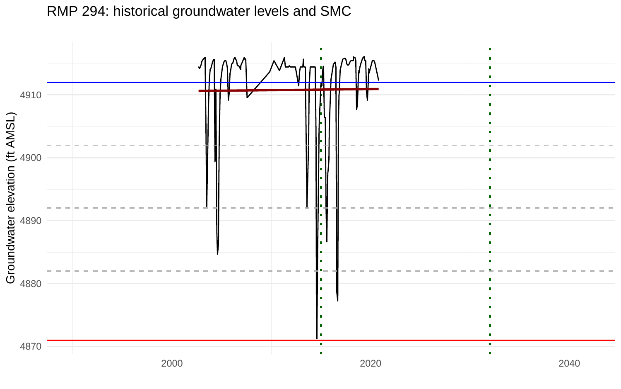

RMP 294: historical groundwater levels and SMC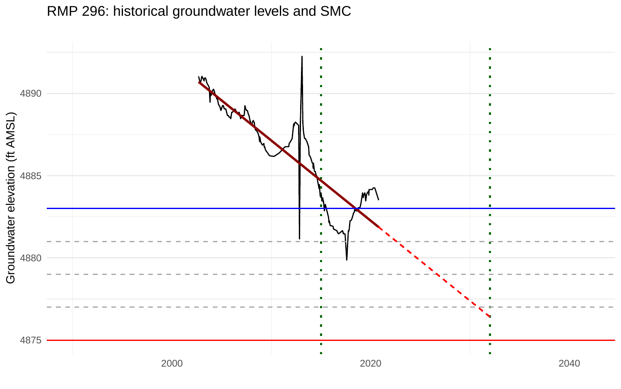× ٠ 4890 Groundwater elevation (ft AMSL) 4885 4880 л × 4875 ٠ 2000 2020 2040

RMP 296: historical groundwater levels and SMC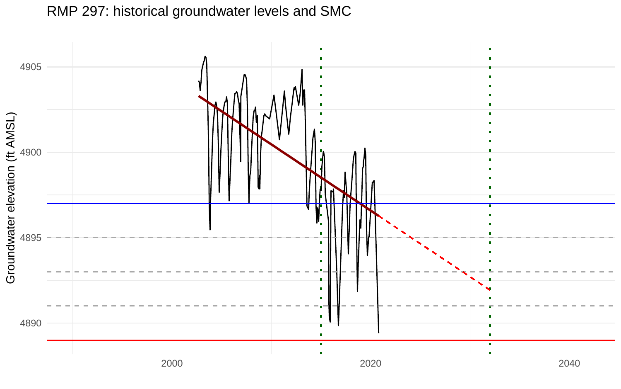

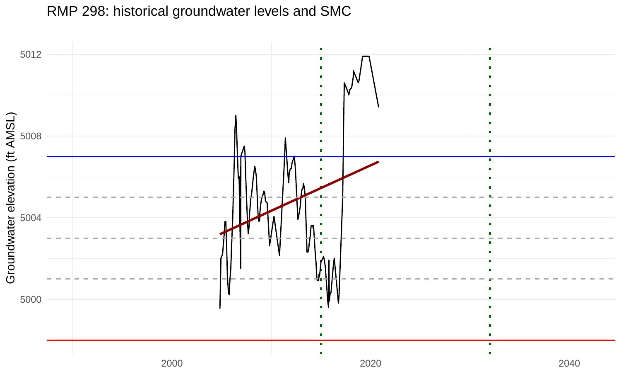RMP 298: historical groundwater levels and SMC

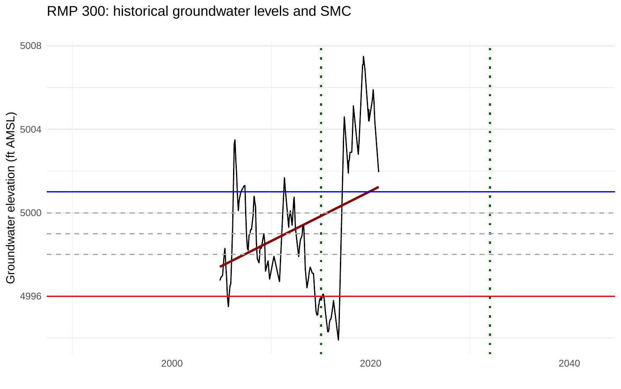RMP 300: historical groundwater levels and SMC

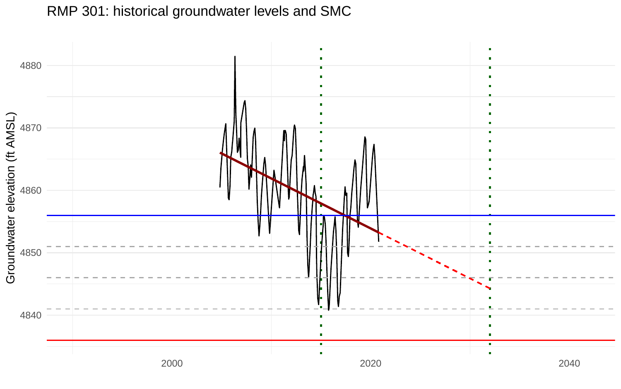

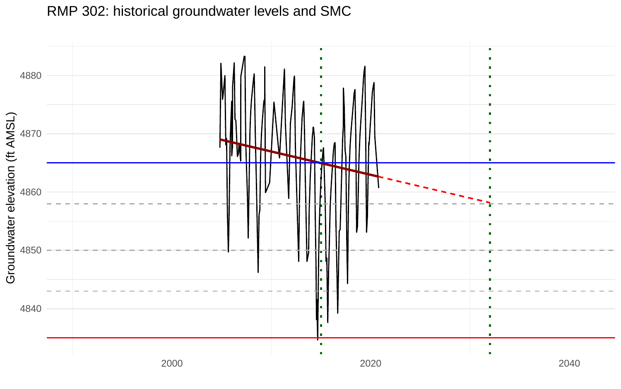

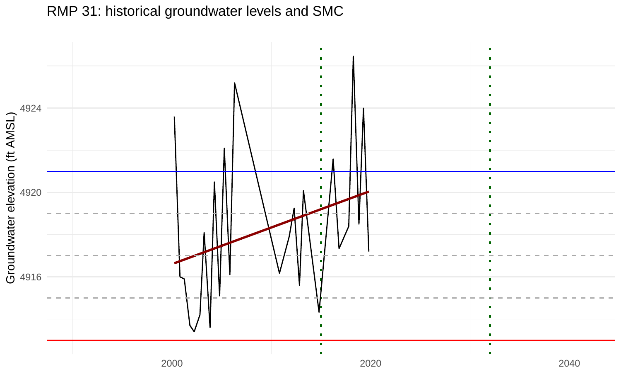

## RMP 31: historical groundwater levels and SMC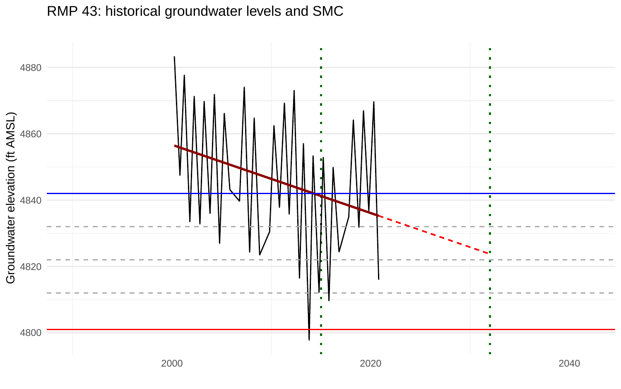

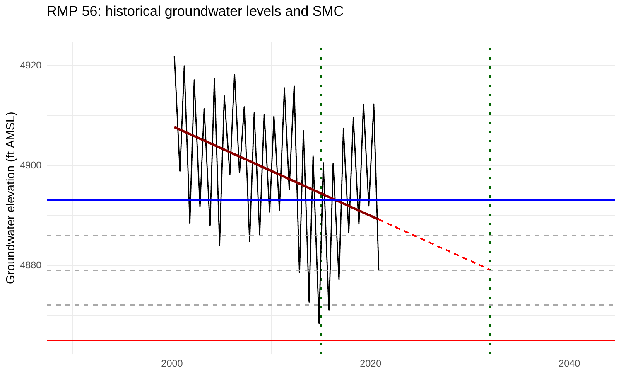

## RMP 56: historical groundwater levels and SMC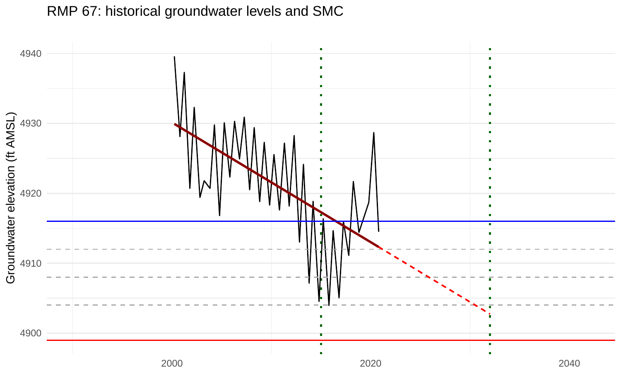

## RMP 67: historical groundwater levels and SMC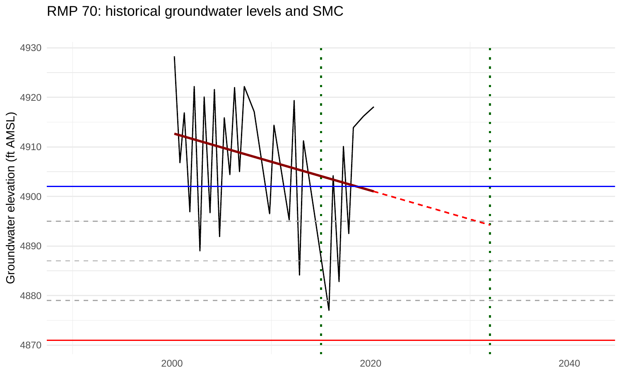

## RMP 70: historical groundwater levels and SMC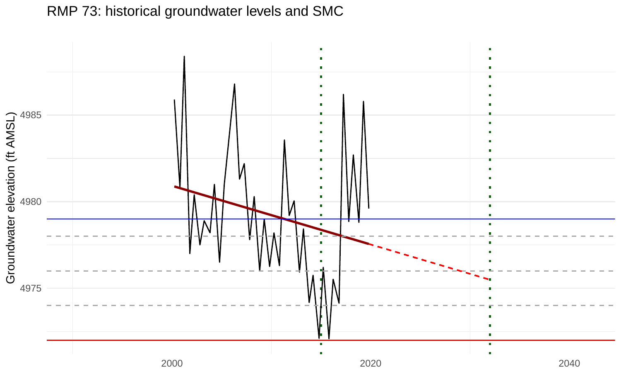

## RMP 73: historical groundwater levels and SMC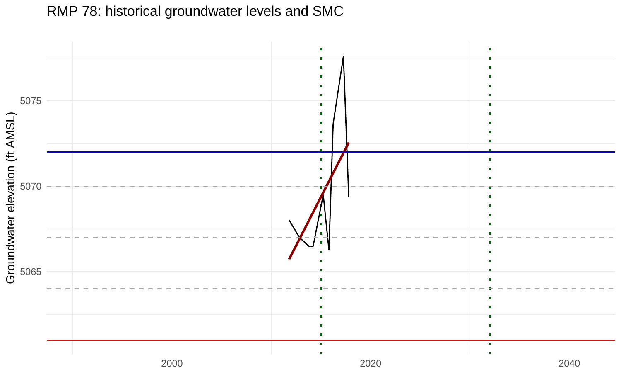RMP 78: historical groundwater levels and SMC

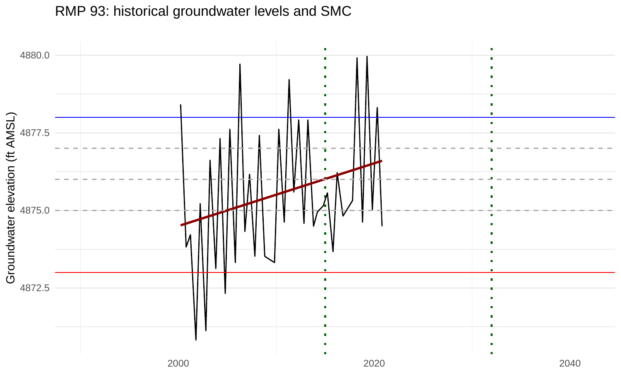